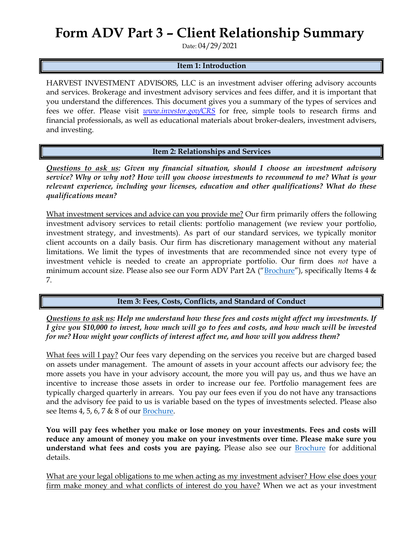# **Form ADV Part 3 – Client Relationship Summary**

Date: 04/29/2021

#### **Item 1: Introduction**

HARVEST INVESTMENT ADVISORS, LLC is an investment adviser offering advisory accounts and services. Brokerage and investment advisory services and fees differ, and it is important that you understand the differences. This document gives you a summary of the types of services and fees we offer. Please visit *[www.investor.gov/CRS](http://www.investor.gov/CRS)* for free, simple tools to research firms and financial professionals, as well as educational materials about broker-dealers, investment advisers, and investing.

**Item 2: Relationships and Services**

*Questions to ask us: Given my financial situation, should I choose an investment advisory service? Why or why not? How will you choose investments to recommend to me? What is your relevant experience, including your licenses, education and other qualifications? What do these qualifications mean?*

What investment services and advice can you provide me? Our firm primarily offers the following investment advisory services to retail clients: portfolio management (we review your portfolio, investment strategy, and investments). As part of our standard services, we typically monitor client accounts on a daily basis. Our firm has discretionary management without any material limitations. We limit the types of investments that are recommended since not every type of investment vehicle is needed to create an appropriate portfolio. Our firm does *not* have a minimum account size. Please also see our Form ADV Part 2A ("[Brochure](https://adviserinfo.sec.gov/firm/summary/136693)"), specifically Items  $4 \&$ 7.

### **Item 3: Fees, Costs, Conflicts, and Standard of Conduct**

*Questions to ask us: Help me understand how these fees and costs might affect my investments. If I give you \$10,000 to invest, how much will go to fees and costs, and how much will be invested for me? How might your conflicts of interest affect me, and how will you address them?* 

What fees will I pay? Our fees vary depending on the services you receive but are charged based on assets under management. The amount of assets in your account affects our advisory fee; the more assets you have in your advisory account, the more you will pay us, and thus we have an incentive to increase those assets in order to increase our fee. Portfolio management fees are typically charged quarterly in arrears. You pay our fees even if you do not have any transactions and the advisory fee paid to us is variable based on the types of investments selected. Please also see Items 4, 5, 6, 7 & 8 of our [Brochure.](https://adviserinfo.sec.gov/firm/summary/136693)

**You will pay fees whether you make or lose money on your investments. Fees and costs will reduce any amount of money you make on your investments over time. Please make sure you understand what fees and costs you are paying.** Please also see our [Brochure](https://adviserinfo.sec.gov/firm/summary/136693) for additional details.

What are your legal obligations to me when acting as my investment adviser? How else does your firm make money and what conflicts of interest do you have? When we act as your investment